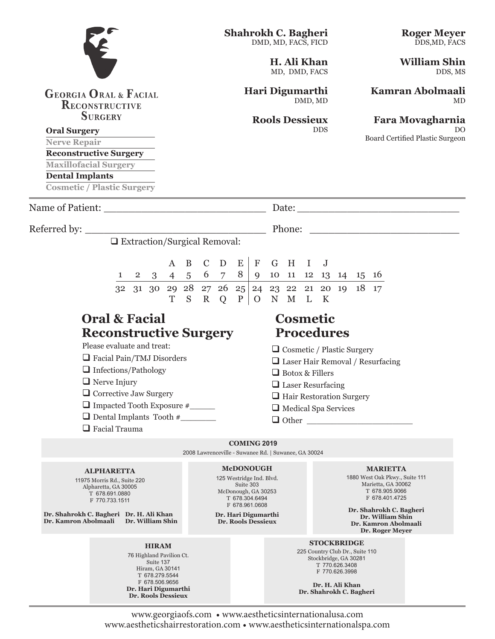# **GEORGIA ORAL & FACIAL RECONSTRUCTIVE SURGERY**

#### **Oral Surgery**

**Nerve Repair**

**Reconstructive Surgery**

**Maxillofacial Surgery**

**Dental Implants**

**Cosmetic / Plastic Surgery**

Name of Patient: \_\_\_\_\_\_\_\_\_\_\_\_\_\_\_\_\_\_\_\_\_\_\_\_\_\_ Date: \_\_\_\_\_\_\_\_\_\_\_\_\_\_\_\_\_\_\_\_\_\_\_\_\_\_

Referred by: \_\_\_\_\_\_\_\_\_\_\_\_\_\_\_\_\_\_\_\_\_\_\_\_\_\_\_\_\_ Phone: \_\_\_\_\_\_\_\_\_\_\_\_\_\_\_\_\_\_\_\_\_\_\_\_

Extraction/Surgical Removal:

|  |                                                                        | A B C D E F G H I J |  |  |  |  |  |  |
|--|------------------------------------------------------------------------|---------------------|--|--|--|--|--|--|
|  | $1 \t2 \t3 \t4 \t5 \t6 \t7 \t8 \t9 \t10 \t11 \t12 \t13 \t14 \t15 \t16$ |                     |  |  |  |  |  |  |
|  | 32 31 30 29 28 27 26 25 24 23 22 21 20 19 18 17                        |                     |  |  |  |  |  |  |
|  |                                                                        | T S R Q P O N M L K |  |  |  |  |  |  |

# **Oral & Facial Cosmetic Reconstructive Surgery Procedures**

Please evaluate and treat:

- Facial Pain/TMJ Disorders
- Infections/Pathology
- $\Box$  Nerve Injury
- $\Box$  Corrective Jaw Surgery
- Impacted Tooth Exposure #\_\_\_\_\_
- $\Box$  Dental Implants Tooth #
- $\Box$  Facial Trauma

 $\Box$  Cosmetic / Plastic Surgery

Laser Hair Removal / Resurfacing

- Botox & Fillers
- **Laser Resurfacing**
- $\Box$  Hair Restoration Surgery
- □ Medical Spa Services
- $\Box$  Other

**COMING 2019** 2008 Lawrenceville - Suwanee Rd. | Suwanee, GA 30024

> **McDONOUGH** 125 Westridge Ind. Blvd. Suite 303 McDonough, GA 30253 T 678.304.6494 F 678.961.0608 **Dr. Hari Digumarthi Dr. Rools Dessieux**

# **ALPHARETTA**

11975 Morris Rd., Suite 220 Alpharetta, GA 30005 T 678.691.0880 F 770.733.1511

**Dr. Shahrokh C. Bagheri Dr. H. Ali Khan Dr. Kamron Abolmaali Dr. William Shin**

#### **HIRAM**

76 Highland Pavilion Ct. Suite 137 Hiram, GA 30141 T 678.279.5544 F 678.506.9656 **Dr. Hari Digumarthi Dr. Rools Dessieux**

**MARIETTA**

1880 West Oak Pkwy., Suite 111 Marietta, GA 30062 T 678.905.9066 F 678.401.4725

**Dr. Shahrokh C. Bagheri Dr. William Shin Dr. Kamron Abolmaali Dr. Roger Meyer**

**STOCKBRIDGE**

225 Country Club Dr., Suite 110 Stockbridge, GA 30281 T 770.626.3408 F 770.626.3998

**Dr. Shahrokh C. Bagheri**

**Dr. H. Ali Khan**

www.georgiaofs.com • www.aestheticsinternationalusa.com www.aestheticshairrestoration.com • www.aestheticsinternationalspa.com **Roger Meyer**  DDS,MD, FACS

**William Shin** DDS, MS

**Kamran Abolmaali**  MD

### **Fara Movagharnia** DO

Board Certified Plastic Surgeon

**H. Ali Khan** MD, DMD, FACS **Hari Digumarthi**

DMD, MD

DDS

**Shahrokh C. Bagheri** 

DMD, MD, FACS, FICD

**Rools Dessieux**